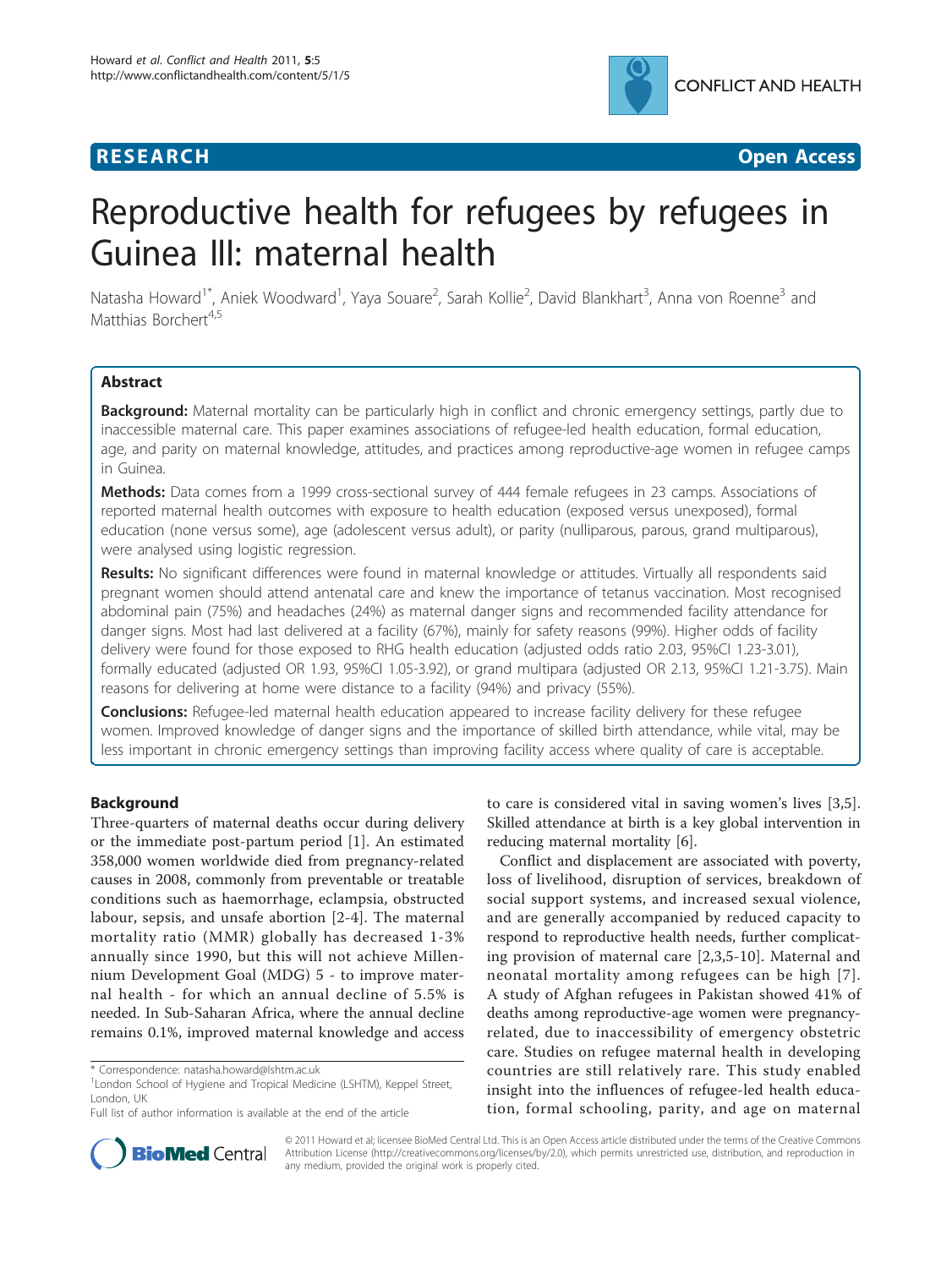

**RESEARCH CHRISTIAN CONSUMING CONTRACT CONSUMING CONSUMING CONSUMING CONSUMING CONSUMING CONSUMING CONSUMING CO** 

# Reproductive health for refugees by refugees in Guinea III: maternal health

Natasha Howard<sup>1\*</sup>, Aniek Woodward<sup>1</sup>, Yaya Souare<sup>2</sup>, Sarah Kollie<sup>2</sup>, David Blankhart<sup>3</sup>, Anna von Roenne<sup>3</sup> and Matthias Borchert<sup>4,5</sup>

# Abstract

Background: Maternal mortality can be particularly high in conflict and chronic emergency settings, partly due to inaccessible maternal care. This paper examines associations of refugee-led health education, formal education, age, and parity on maternal knowledge, attitudes, and practices among reproductive-age women in refugee camps in Guinea.

Methods: Data comes from a 1999 cross-sectional survey of 444 female refugees in 23 camps. Associations of reported maternal health outcomes with exposure to health education (exposed versus unexposed), formal education (none versus some), age (adolescent versus adult), or parity (nulliparous, parous, grand multiparous), were analysed using logistic regression.

Results: No significant differences were found in maternal knowledge or attitudes. Virtually all respondents said pregnant women should attend antenatal care and knew the importance of tetanus vaccination. Most recognised abdominal pain (75%) and headaches (24%) as maternal danger signs and recommended facility attendance for danger signs. Most had last delivered at a facility (67%), mainly for safety reasons (99%). Higher odds of facility delivery were found for those exposed to RHG health education (adjusted odds ratio 2.03, 95%CI 1.23-3.01), formally educated (adjusted OR 1.93, 95%Cl 1.05-3.92), or grand multipara (adjusted OR 2.13, 95%Cl 1.21-3.75). Main reasons for delivering at home were distance to a facility (94%) and privacy (55%).

Conclusions: Refugee-led maternal health education appeared to increase facility delivery for these refugee women. Improved knowledge of danger signs and the importance of skilled birth attendance, while vital, may be less important in chronic emergency settings than improving facility access where quality of care is acceptable.

# Background

Three-quarters of maternal deaths occur during delivery or the immediate post-partum period [[1\]](#page-7-0). An estimated 358,000 women worldwide died from pregnancy-related causes in 2008, commonly from preventable or treatable conditions such as haemorrhage, eclampsia, obstructed labour, sepsis, and unsafe abortion [[2-4](#page-7-0)]. The maternal mortality ratio (MMR) globally has decreased 1-3% annually since 1990, but this will not achieve Millennium Development Goal (MDG) 5 - to improve maternal health - for which an annual decline of 5.5% is needed. In Sub-Saharan Africa, where the annual decline remains 0.1%, improved maternal knowledge and access

to care is considered vital in saving women's lives [[3,5](#page-7-0)]. Skilled attendance at birth is a key global intervention in reducing maternal mortality [\[6](#page-7-0)].

Conflict and displacement are associated with poverty, loss of livelihood, disruption of services, breakdown of social support systems, and increased sexual violence, and are generally accompanied by reduced capacity to respond to reproductive health needs, further complicating provision of maternal care [[2,3,5](#page-7-0)-[10\]](#page-7-0). Maternal and neonatal mortality among refugees can be high [[7\]](#page-7-0). A study of Afghan refugees in Pakistan showed 41% of deaths among reproductive-age women were pregnancyrelated, due to inaccessibility of emergency obstetric care. Studies on refugee maternal health in developing countries are still relatively rare. This study enabled insight into the influences of refugee-led health education, formal schooling, parity, and age on maternal



© 2011 Howard et al; licensee BioMed Central Ltd. This is an Open Access article distributed under the terms of the Creative Commons Attribution License [\(http://creativecommons.org/licenses/by/2.0](http://creativecommons.org/licenses/by/2.0)), which permits unrestricted use, distribution, and reproduction in any medium, provided the original work is properly cited.

<sup>\*</sup> Correspondence: [natasha.howard@lshtm.ac.uk](mailto:natasha.howard@lshtm.ac.uk)

<sup>&</sup>lt;sup>1</sup> London School of Hygiene and Tropical Medicine (LSHTM), Keppel Street, London, UK

Full list of author information is available at the end of the article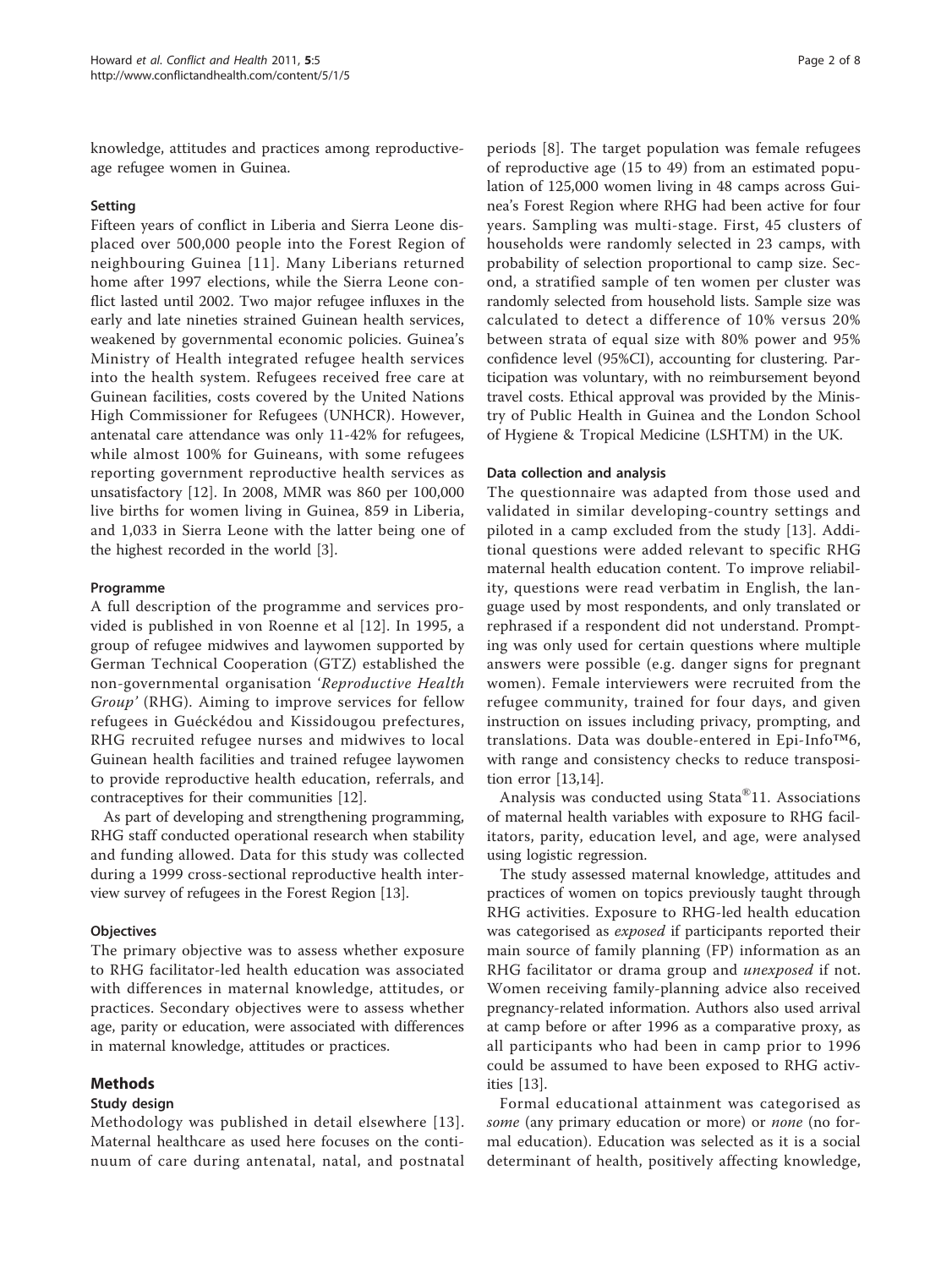knowledge, attitudes and practices among reproductiveage refugee women in Guinea.

# Setting

Fifteen years of conflict in Liberia and Sierra Leone displaced over 500,000 people into the Forest Region of neighbouring Guinea [[11](#page-7-0)]. Many Liberians returned home after 1997 elections, while the Sierra Leone conflict lasted until 2002. Two major refugee influxes in the early and late nineties strained Guinean health services, weakened by governmental economic policies. Guinea's Ministry of Health integrated refugee health services into the health system. Refugees received free care at Guinean facilities, costs covered by the United Nations High Commissioner for Refugees (UNHCR). However, antenatal care attendance was only 11-42% for refugees, while almost 100% for Guineans, with some refugees reporting government reproductive health services as unsatisfactory [[12\]](#page-7-0). In 2008, MMR was 860 per 100,000 live births for women living in Guinea, 859 in Liberia, and 1,033 in Sierra Leone with the latter being one of the highest recorded in the world [\[3](#page-7-0)].

### Programme

A full description of the programme and services provided is published in von Roenne et al [\[12\]](#page-7-0). In 1995, a group of refugee midwives and laywomen supported by German Technical Cooperation (GTZ) established the non-governmental organisation 'Reproductive Health Group' (RHG). Aiming to improve services for fellow refugees in Guéckédou and Kissidougou prefectures, RHG recruited refugee nurses and midwives to local Guinean health facilities and trained refugee laywomen to provide reproductive health education, referrals, and contraceptives for their communities [[12](#page-7-0)].

As part of developing and strengthening programming, RHG staff conducted operational research when stability and funding allowed. Data for this study was collected during a 1999 cross-sectional reproductive health interview survey of refugees in the Forest Region [\[13\]](#page-7-0).

# **Objectives**

The primary objective was to assess whether exposure to RHG facilitator-led health education was associated with differences in maternal knowledge, attitudes, or practices. Secondary objectives were to assess whether age, parity or education, were associated with differences in maternal knowledge, attitudes or practices.

# Methods

# Study design

Methodology was published in detail elsewhere [\[13\]](#page-7-0). Maternal healthcare as used here focuses on the continuum of care during antenatal, natal, and postnatal

periods [[8\]](#page-7-0). The target population was female refugees of reproductive age (15 to 49) from an estimated population of 125,000 women living in 48 camps across Guinea's Forest Region where RHG had been active for four years. Sampling was multi-stage. First, 45 clusters of households were randomly selected in 23 camps, with probability of selection proportional to camp size. Second, a stratified sample of ten women per cluster was randomly selected from household lists. Sample size was calculated to detect a difference of 10% versus 20% between strata of equal size with 80% power and 95% confidence level (95%CI), accounting for clustering. Participation was voluntary, with no reimbursement beyond travel costs. Ethical approval was provided by the Ministry of Public Health in Guinea and the London School of Hygiene & Tropical Medicine (LSHTM) in the UK.

### Data collection and analysis

The questionnaire was adapted from those used and validated in similar developing-country settings and piloted in a camp excluded from the study [[13](#page-7-0)]. Additional questions were added relevant to specific RHG maternal health education content. To improve reliability, questions were read verbatim in English, the language used by most respondents, and only translated or rephrased if a respondent did not understand. Prompting was only used for certain questions where multiple answers were possible (e.g. danger signs for pregnant women). Female interviewers were recruited from the refugee community, trained for four days, and given instruction on issues including privacy, prompting, and translations. Data was double-entered in Epi-Info™6, with range and consistency checks to reduce transposition error [[13,14\]](#page-7-0).

Analysis was conducted using Stata®11. Associations of maternal health variables with exposure to RHG facilitators, parity, education level, and age, were analysed using logistic regression.

The study assessed maternal knowledge, attitudes and practices of women on topics previously taught through RHG activities. Exposure to RHG-led health education was categorised as exposed if participants reported their main source of family planning (FP) information as an RHG facilitator or drama group and *unexposed* if not. Women receiving family-planning advice also received pregnancy-related information. Authors also used arrival at camp before or after 1996 as a comparative proxy, as all participants who had been in camp prior to 1996 could be assumed to have been exposed to RHG activities [[13](#page-7-0)].

Formal educational attainment was categorised as some (any primary education or more) or *none* (no formal education). Education was selected as it is a social determinant of health, positively affecting knowledge,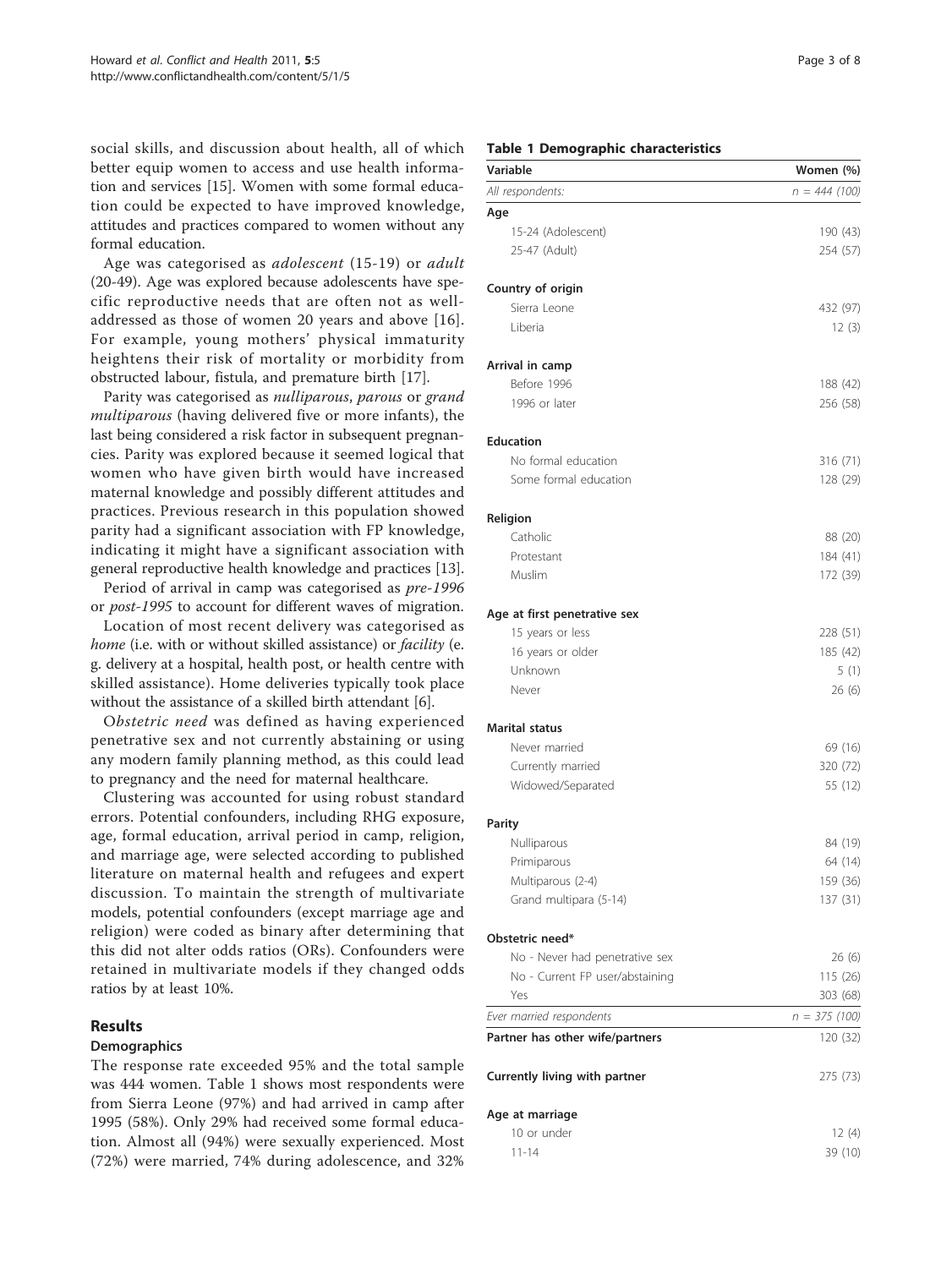<span id="page-2-0"></span>social skills, and discussion about health, all of which better equip women to access and use health information and services [[15](#page-7-0)]. Women with some formal education could be expected to have improved knowledge, attitudes and practices compared to women without any formal education.

Age was categorised as adolescent (15-19) or adult (20-49). Age was explored because adolescents have specific reproductive needs that are often not as welladdressed as those of women 20 years and above [[16](#page-7-0)]. For example, young mothers' physical immaturity heightens their risk of mortality or morbidity from obstructed labour, fistula, and premature birth [\[17\]](#page-7-0).

Parity was categorised as nulliparous, parous or grand multiparous (having delivered five or more infants), the last being considered a risk factor in subsequent pregnancies. Parity was explored because it seemed logical that women who have given birth would have increased maternal knowledge and possibly different attitudes and practices. Previous research in this population showed parity had a significant association with FP knowledge, indicating it might have a significant association with general reproductive health knowledge and practices [[13](#page-7-0)].

Period of arrival in camp was categorised as pre-1996 or post-1995 to account for different waves of migration.

Location of most recent delivery was categorised as home (i.e. with or without skilled assistance) or *facility* (e. g. delivery at a hospital, health post, or health centre with skilled assistance). Home deliveries typically took place without the assistance of a skilled birth attendant [\[6\]](#page-7-0).

Obstetric need was defined as having experienced penetrative sex and not currently abstaining or using any modern family planning method, as this could lead to pregnancy and the need for maternal healthcare.

Clustering was accounted for using robust standard errors. Potential confounders, including RHG exposure, age, formal education, arrival period in camp, religion, and marriage age, were selected according to published literature on maternal health and refugees and expert discussion. To maintain the strength of multivariate models, potential confounders (except marriage age and religion) were coded as binary after determining that this did not alter odds ratios (ORs). Confounders were retained in multivariate models if they changed odds ratios by at least 10%.

# Results

# **Demographics**

The response rate exceeded 95% and the total sample was 444 women. Table 1 shows most respondents were from Sierra Leone (97%) and had arrived in camp after 1995 (58%). Only 29% had received some formal education. Almost all (94%) were sexually experienced. Most (72%) were married, 74% during adolescence, and 32%

# Table 1 Demographic characteristics

| Variable                        | Women (%)       |
|---------------------------------|-----------------|
| All respondents:                | $n = 444 (100)$ |
| Age                             |                 |
| 15-24 (Adolescent)              | 190 (43)        |
| 25-47 (Adult)                   | 254 (57)        |
| Country of origin               |                 |
| Sierra Leone                    | 432 (97)        |
| Liberia                         | 12(3)           |
| Arrival in camp                 |                 |
| Before 1996                     | 188 (42)        |
| 1996 or later                   | 256 (58)        |
| <b>Education</b>                |                 |
| No formal education             | 316 (71)        |
| Some formal education           | 128 (29)        |
| Religion                        |                 |
| Catholic                        | 88 (20)         |
| Protestant                      | 184 (41)        |
| Muslim                          | 172 (39)        |
| Age at first penetrative sex    |                 |
| 15 years or less                | 228 (51)        |
| 16 years or older               | 185 (42)        |
| Unknown                         | 5(1)            |
| Never                           | 26 (6)          |
| <b>Marital status</b>           |                 |
| Never married                   | 69 (16)         |
| Currently married               | 320 (72)        |
| Widowed/Separated               | 55 (12)         |
| Parity                          |                 |
| Nulliparous                     | 84 (19)         |
| Primiparous                     | 64 (14)         |
| Multiparous (2-4)               | 159 (36)        |
| Grand multipara (5-14)          | 137 (31)        |
| Obstetric need*                 |                 |
| No - Never had penetrative sex  | 26 (6)          |
| No - Current FP user/abstaining | 115 (26)        |
| Yes                             | 303 (68)        |
| Ever married respondents        | $n = 375 (100)$ |
| Partner has other wife/partners | 120 (32)        |
| Currently living with partner   | 275 (73)        |
| Age at marriage                 |                 |
| 10 or under                     | 12 (4)          |
| $11 - 14$                       | 39 (10)         |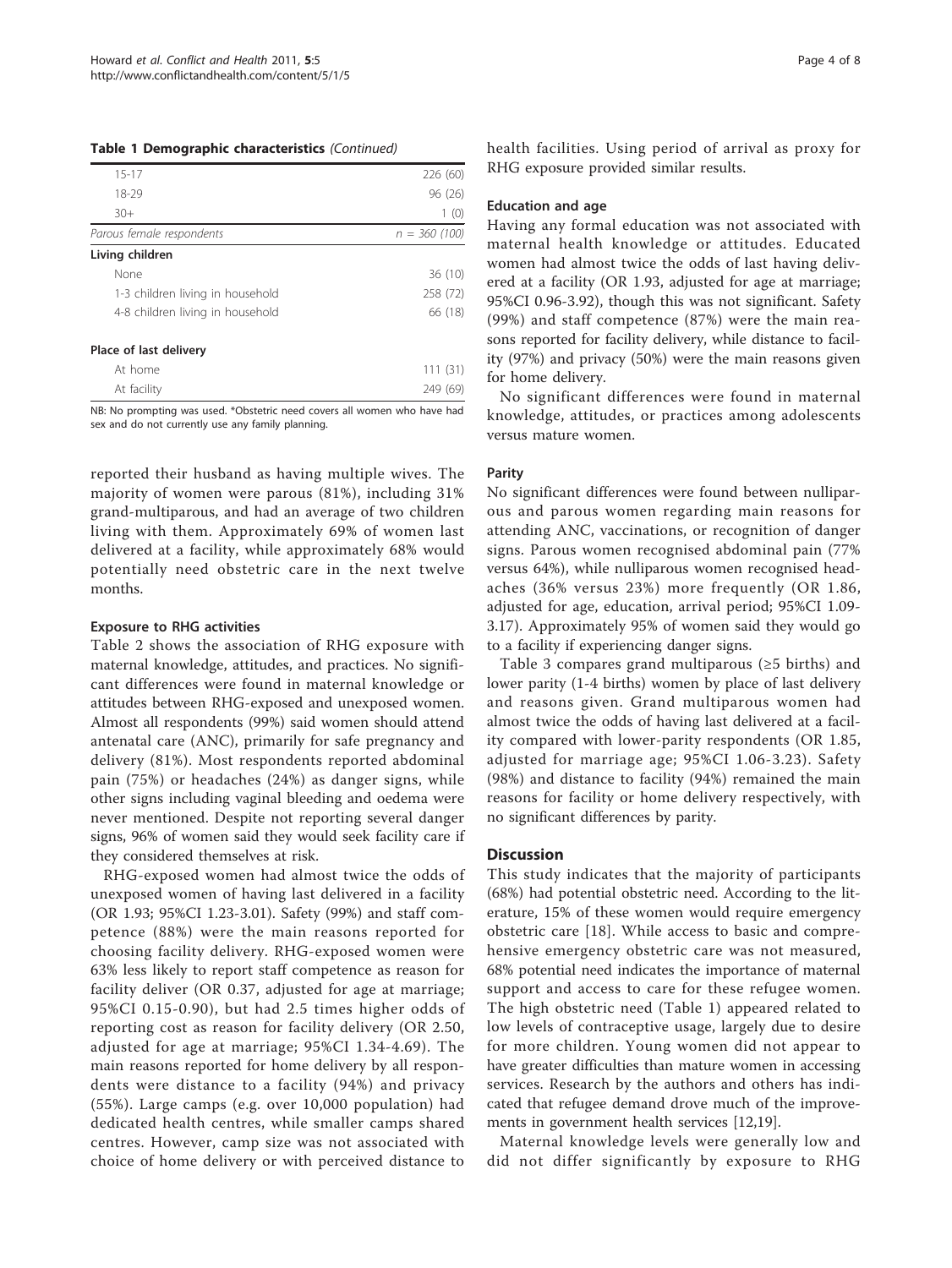|  |  |  | Table 1 Demographic characteristics (Continued) |  |
|--|--|--|-------------------------------------------------|--|
|--|--|--|-------------------------------------------------|--|

| $15 - 17$                        | 226 (60)       |
|----------------------------------|----------------|
| 18-29                            | 96 (26)        |
| $30+$                            | 1(0)           |
| Parous female respondents        | $n = 360(100)$ |
| Living children                  |                |
| None                             | 36 (10)        |
| 1-3 children living in household | 258 (72)       |
| 4-8 children living in household | 66 (18)        |
| Place of last delivery           |                |
| At home                          | (31)           |

NB: No prompting was used. \*Obstetric need covers all women who have had sex and do not currently use any family planning.

At facility 249 (69)

reported their husband as having multiple wives. The majority of women were parous (81%), including 31% grand-multiparous, and had an average of two children living with them. Approximately 69% of women last delivered at a facility, while approximately 68% would potentially need obstetric care in the next twelve months.

### Exposure to RHG activities

Table [2](#page-4-0) shows the association of RHG exposure with maternal knowledge, attitudes, and practices. No significant differences were found in maternal knowledge or attitudes between RHG-exposed and unexposed women. Almost all respondents (99%) said women should attend antenatal care (ANC), primarily for safe pregnancy and delivery (81%). Most respondents reported abdominal pain (75%) or headaches (24%) as danger signs, while other signs including vaginal bleeding and oedema were never mentioned. Despite not reporting several danger signs, 96% of women said they would seek facility care if they considered themselves at risk.

RHG-exposed women had almost twice the odds of unexposed women of having last delivered in a facility (OR 1.93; 95%CI 1.23-3.01). Safety (99%) and staff competence (88%) were the main reasons reported for choosing facility delivery. RHG-exposed women were 63% less likely to report staff competence as reason for facility deliver (OR 0.37, adjusted for age at marriage; 95%CI 0.15-0.90), but had 2.5 times higher odds of reporting cost as reason for facility delivery (OR 2.50, adjusted for age at marriage; 95%CI 1.34-4.69). The main reasons reported for home delivery by all respondents were distance to a facility (94%) and privacy (55%). Large camps (e.g. over 10,000 population) had dedicated health centres, while smaller camps shared centres. However, camp size was not associated with choice of home delivery or with perceived distance to

health facilities. Using period of arrival as proxy for RHG exposure provided similar results.

### Education and age

Having any formal education was not associated with maternal health knowledge or attitudes. Educated women had almost twice the odds of last having delivered at a facility (OR 1.93, adjusted for age at marriage; 95%CI 0.96-3.92), though this was not significant. Safety (99%) and staff competence (87%) were the main reasons reported for facility delivery, while distance to facility (97%) and privacy (50%) were the main reasons given for home delivery.

No significant differences were found in maternal knowledge, attitudes, or practices among adolescents versus mature women.

#### Parity

No significant differences were found between nulliparous and parous women regarding main reasons for attending ANC, vaccinations, or recognition of danger signs. Parous women recognised abdominal pain (77% versus 64%), while nulliparous women recognised headaches (36% versus 23%) more frequently (OR 1.86, adjusted for age, education, arrival period; 95%CI 1.09- 3.17). Approximately 95% of women said they would go to a facility if experiencing danger signs.

Table [3](#page-5-0) compares grand multiparous (≥5 births) and lower parity (1-4 births) women by place of last delivery and reasons given. Grand multiparous women had almost twice the odds of having last delivered at a facility compared with lower-parity respondents (OR 1.85, adjusted for marriage age; 95%CI 1.06-3.23). Safety (98%) and distance to facility (94%) remained the main reasons for facility or home delivery respectively, with no significant differences by parity.

# **Discussion**

This study indicates that the majority of participants (68%) had potential obstetric need. According to the literature, 15% of these women would require emergency obstetric care [\[18\]](#page-7-0). While access to basic and comprehensive emergency obstetric care was not measured, 68% potential need indicates the importance of maternal support and access to care for these refugee women. The high obstetric need (Table [1](#page-2-0)) appeared related to low levels of contraceptive usage, largely due to desire for more children. Young women did not appear to have greater difficulties than mature women in accessing services. Research by the authors and others has indicated that refugee demand drove much of the improvements in government health services [[12,19\]](#page-7-0).

Maternal knowledge levels were generally low and did not differ significantly by exposure to RHG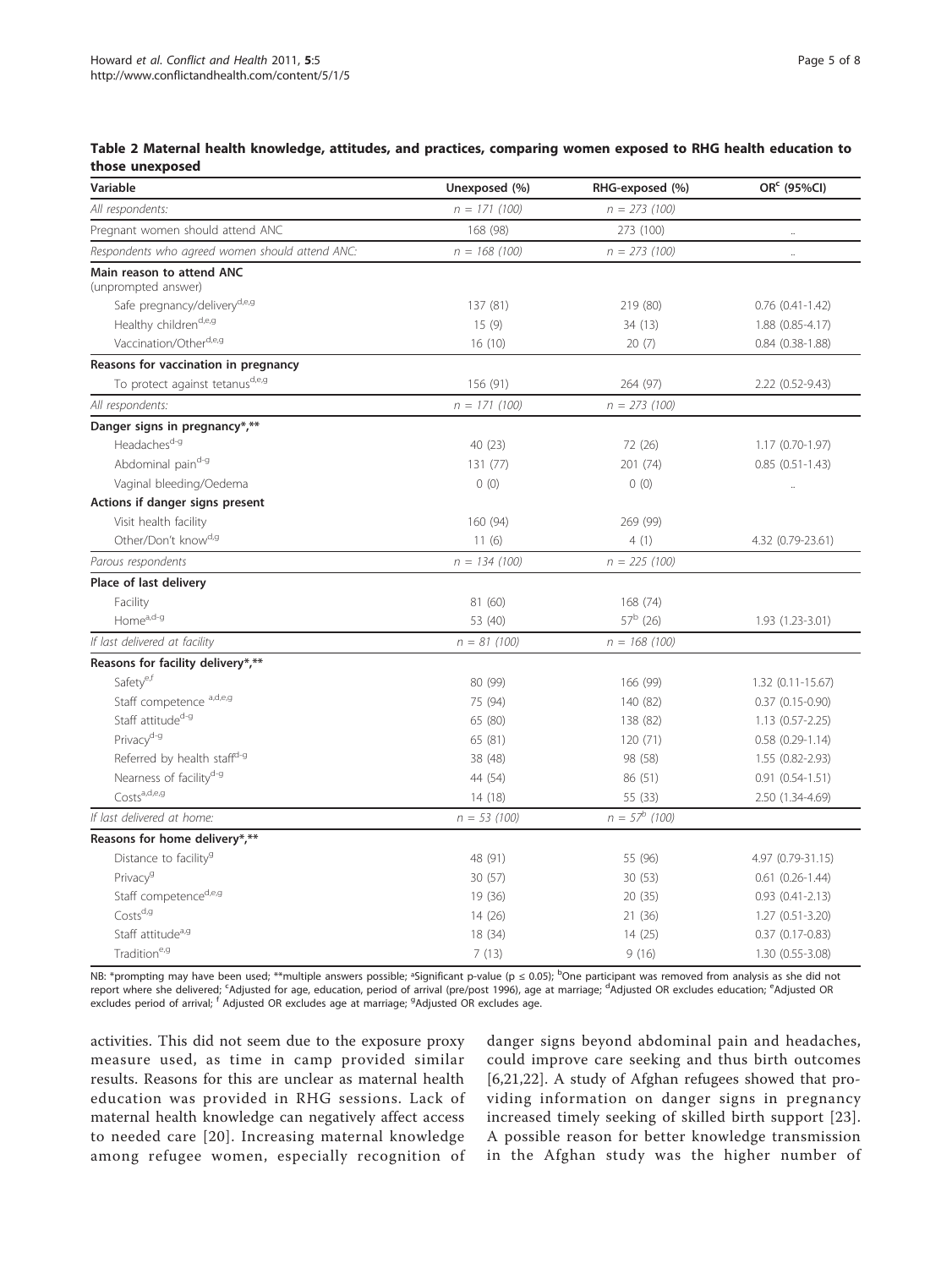# <span id="page-4-0"></span>Table 2 Maternal health knowledge, attitudes, and practices, comparing women exposed to RHG health education to those unexposed

| Variable                                         | Unexposed (%)   | RHG-exposed (%)  | OR <sup>c</sup> (95%Cl) |
|--------------------------------------------------|-----------------|------------------|-------------------------|
| All respondents:                                 | $n = 171 (100)$ | $n = 273(100)$   |                         |
| Pregnant women should attend ANC                 | 168 (98)        | 273 (100)        | ă,                      |
| Respondents who agreed women should attend ANC:  | $n = 168(100)$  | $n = 273$ (100)  | $\ddotsc$               |
| Main reason to attend ANC<br>(unprompted answer) |                 |                  |                         |
| Safe pregnancy/deliveryd,e,g                     | 137 (81)        | 219 (80)         | $0.76$ $(0.41 - 1.42)$  |
| Healthy childrend,e,g                            | 15(9)           | 34 (13)          | 1.88 (0.85-4.17)        |
| Vaccination/Otherd,e,g                           | 16(10)          | 20(7)            | $0.84$ $(0.38 - 1.88)$  |
| Reasons for vaccination in pregnancy             |                 |                  |                         |
| To protect against tetanusd,e,g                  | 156 (91)        | 264 (97)         | 2.22 (0.52-9.43)        |
| All respondents:                                 | $n = 171 (100)$ | $n = 273(100)$   |                         |
| Danger signs in pregnancy*,**                    |                 |                  |                         |
| Headaches <sup>d-g</sup>                         | 40 (23)         | 72 (26)          | 1.17 (0.70-1.97)        |
| Abdominal paind-g                                | 131 (77)        | 201 (74)         | $0.85(0.51-1.43)$       |
| Vaginal bleeding/Oedema                          | 0(0)            | 0(0)             |                         |
| Actions if danger signs present                  |                 |                  |                         |
| Visit health facility                            | 160 (94)        | 269 (99)         |                         |
| Other/Don't know <sup>d,9</sup>                  | 11(6)           | 4(1)             | 4.32 (0.79-23.61)       |
| Parous respondents                               | $n = 134 (100)$ | $n = 225$ (100)  |                         |
| Place of last delivery                           |                 |                  |                         |
| Facility                                         | 81 (60)         | 168 (74)         |                         |
| Home <sup>a,d-g</sup>                            | 53 (40)         | $57^b$ (26)      | 1.93 (1.23-3.01)        |
| If last delivered at facility                    | $n = 81 (100)$  | $n = 168(100)$   |                         |
| Reasons for facility delivery*,**                |                 |                  |                         |
| Safetye,f                                        | 80 (99)         | 166 (99)         | $1.32(0.11 - 15.67)$    |
| Staff competence a,d,e,g                         | 75 (94)         | 140 (82)         | $0.37$ $(0.15 - 0.90)$  |
| Staff attitude <sup>d-g</sup>                    | 65 (80)         | 138 (82)         | $1.13(0.57 - 2.25)$     |
| Privacy <sup>d-g</sup>                           | 65 (81)         | 120 (71)         | $0.58(0.29-1.14)$       |
| Referred by health staff <sup>d-g</sup>          | 38 (48)         | 98 (58)          | 1.55 (0.82-2.93)        |
| Nearness of facility <sup>d-g</sup>              | 44 (54)         | 86 (51)          | $0.91(0.54-1.51)$       |
| Costsa,d,e,g                                     | 14(18)          | 55 (33)          | 2.50 (1.34-4.69)        |
| If last delivered at home:                       | $n = 53(100)$   | $n = 57^b$ (100) |                         |
| Reasons for home delivery*,**                    |                 |                  |                         |
| Distance to facility <sup>9</sup>                | 48 (91)         | 55 (96)          | 4.97 (0.79-31.15)       |
| Privacy <sup>9</sup>                             | 30(57)          | 30(53)           | $0.61$ $(0.26-1.44)$    |
| Staff competenced,e,g                            | 19 (36)         | 20(35)           | $0.93$ $(0.41 - 2.13)$  |
| $Costs^{d,g}$                                    | 14(26)          | 21 (36)          | $1.27(0.51 - 3.20)$     |
| Staff attitude <sup>a, g</sup>                   | 18 (34)         | 14(25)           | $0.37$ $(0.17 - 0.83)$  |
| Tradition <sup>e, g</sup>                        | 7(13)           | 9(16)            | 1.30 (0.55-3.08)        |

NB: \*prompting may have been used; \*\*multiple answers possible; <sup>a</sup>Significant p-value (p ≤ 0.05); <sup>b</sup>One participant was removed from analysis as she did not report where she delivered; <sup>c</sup>Adjusted for age, education, period of arrival (pre/post 1996), age at marriage; <sup>d</sup>Adjusted OR excludes education; <sup>e</sup>Adjusted OR excludes period of arrival; <sup>f</sup> Adjusted OR excludes age at marriage; <sup>g</sup>Adjusted OR excludes age.

activities. This did not seem due to the exposure proxy measure used, as time in camp provided similar results. Reasons for this are unclear as maternal health education was provided in RHG sessions. Lack of maternal health knowledge can negatively affect access to needed care [[20](#page-7-0)]. Increasing maternal knowledge among refugee women, especially recognition of danger signs beyond abdominal pain and headaches, could improve care seeking and thus birth outcomes [[6,21](#page-7-0),[22\]](#page-7-0). A study of Afghan refugees showed that providing information on danger signs in pregnancy increased timely seeking of skilled birth support [[23](#page-7-0)]. A possible reason for better knowledge transmission in the Afghan study was the higher number of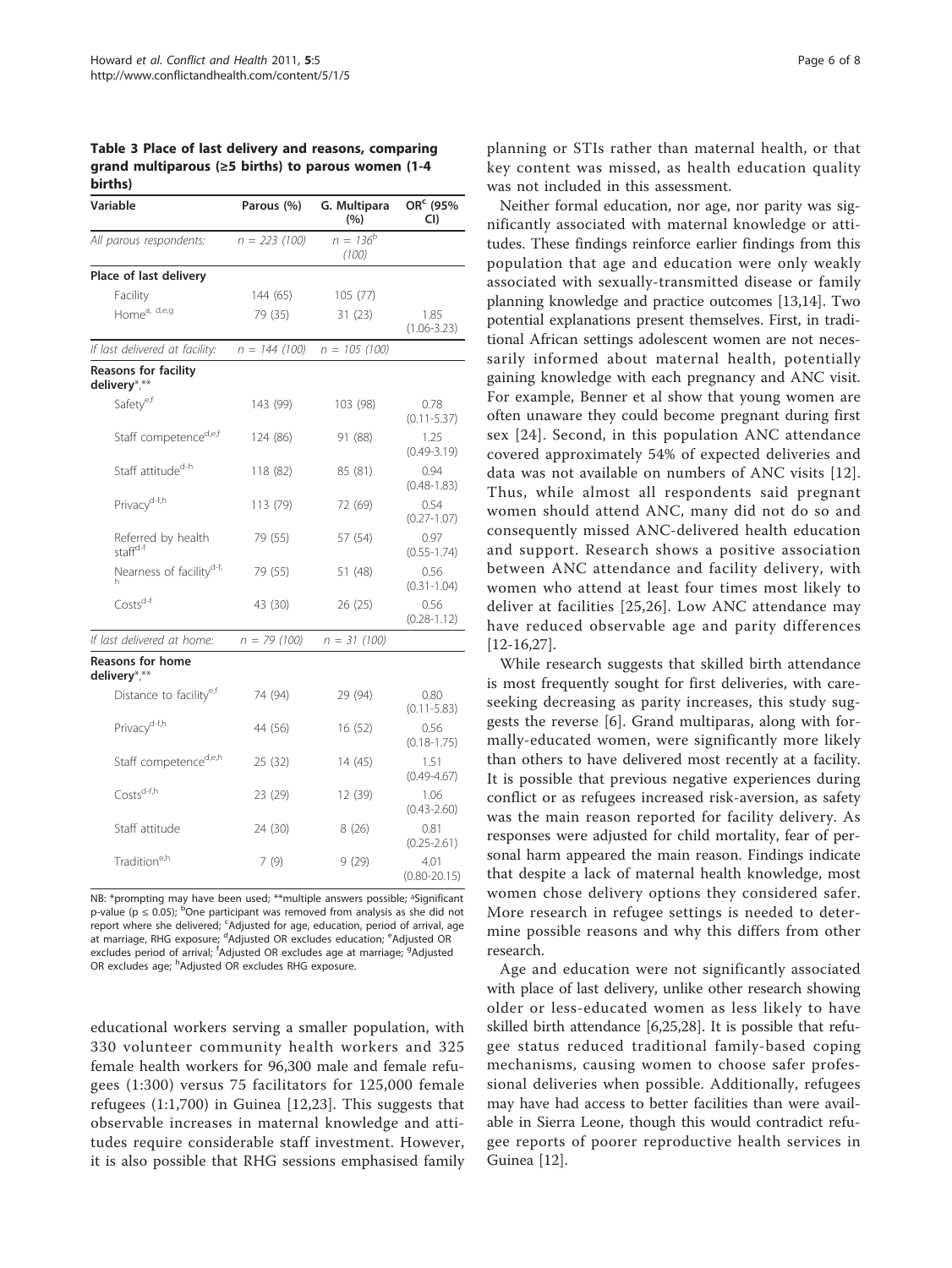<span id="page-5-0"></span>Table 3 Place of last delivery and reasons, comparing grand multiparous (≥5 births) to parous women (1-4 births)

| Variable                                    | Parous (%)      | G. Multipara<br>(%)    | OR <sup>c</sup> (95%<br>CI) |
|---------------------------------------------|-----------------|------------------------|-----------------------------|
| All parous respondents:                     | $n = 223$ (100) | $n = 136^{b}$<br>(100) |                             |
| Place of last delivery                      |                 |                        |                             |
| Facility                                    | 144 (65)        | 105 (77)               |                             |
| Homea, d,e,g                                | 79 (35)         | 31(23)                 | 1.85<br>$(1.06 - 3.23)$     |
| If last delivered at facility:              | $n = 144(100)$  | $n = 105 (100)$        |                             |
| <b>Reasons for facility</b><br>delivery*,** |                 |                        |                             |
| Safetye,f                                   | 143 (99)        | 103 (98)               | 0.78<br>$(0.11 - 5.37)$     |
| Staff competenced,e,f                       | 124 (86)        | 91 (88)                | 1.25<br>$(0.49 - 3.19)$     |
| Staff attitude <sup>d-h</sup>               | 118 (82)        | 85 (81)                | 0.94<br>$(0.48 - 1.83)$     |
| Privacy <sup>d-f,h</sup>                    | 113 (79)        | 72 (69)                | 0.54<br>$(0.27 - 1.07)$     |
| Referred by health<br>staff <sup>d-f</sup>  | 79 (55)         | 57 (54)                | 0.97<br>$(0.55 - 1.74)$     |
| Nearness of facility <sup>d-f,</sup><br>h   | 79 (55)         | 51 (48)                | 0.56<br>$(0.31 - 1.04)$     |
| Costs <sup>d-f</sup>                        | 43 (30)         | 26 (25)                | 0.56<br>$(0.28 - 1.12)$     |
| If last delivered at home:                  | $n = 79(100)$   | $n = 31 (100)$         |                             |
| Reasons for home<br>delivery*,**            |                 |                        |                             |
| Distance to facility <sup>e,t</sup>         | 74 (94)         | 29 (94)                | 0.80<br>$(0.11 - 5.83)$     |
| Privacy <sup>d-f,h</sup>                    | 44 (56)         | 16(52)                 | 0.56<br>$(0.18 - 1.75)$     |
| Staff competenced,e,h                       | 25 (32)         | 14 (45)                | 1.51<br>$(0.49 - 4.67)$     |
| $Costs^{d-f,h}$                             | 23 (29)         | 12 (39)                | 1.06<br>$(0.43 - 2.60)$     |
| Staff attitude                              | 24 (30)         | 8 (26)                 | 0.81<br>$(0.25 - 2.61)$     |
| Tradition <sup>e,h</sup>                    | 7 (9)           | 9(29)                  | 4.01<br>$(0.80 - 20.15)$    |

NB: \*prompting may have been used; \*\*multiple answers possible; ªSignificant p-value (p  $\leq$  0.05); <sup>b</sup>One participant was removed from analysis as she did not report where she delivered; <sup>c</sup>Adjusted for age, education, period of arrival, age at marriage, RHG exposure; <sup>d</sup>Adjusted OR excludes education; <sup>e</sup>Adjusted OR excludes period of arrival; <sup>f</sup>Adjusted OR excludes age at marriage; <sup>g</sup>Adjusted OR excludes age; <sup>h</sup>Adjusted OR excludes RHG exposure.

educational workers serving a smaller population, with 330 volunteer community health workers and 325 female health workers for 96,300 male and female refugees (1:300) versus 75 facilitators for 125,000 female refugees (1:1,700) in Guinea [[12,23](#page-7-0)]. This suggests that observable increases in maternal knowledge and attitudes require considerable staff investment. However, it is also possible that RHG sessions emphasised family

planning or STIs rather than maternal health, or that key content was missed, as health education quality was not included in this assessment.

Neither formal education, nor age, nor parity was significantly associated with maternal knowledge or attitudes. These findings reinforce earlier findings from this population that age and education were only weakly associated with sexually-transmitted disease or family planning knowledge and practice outcomes [[13,14\]](#page-7-0). Two potential explanations present themselves. First, in traditional African settings adolescent women are not necessarily informed about maternal health, potentially gaining knowledge with each pregnancy and ANC visit. For example, Benner et al show that young women are often unaware they could become pregnant during first sex [[24](#page-7-0)]. Second, in this population ANC attendance covered approximately 54% of expected deliveries and data was not available on numbers of ANC visits [[12](#page-7-0)]. Thus, while almost all respondents said pregnant women should attend ANC, many did not do so and consequently missed ANC-delivered health education and support. Research shows a positive association between ANC attendance and facility delivery, with women who attend at least four times most likely to deliver at facilities [[25,26](#page-7-0)]. Low ANC attendance may have reduced observable age and parity differences [[12-16,27\]](#page-7-0).

While research suggests that skilled birth attendance is most frequently sought for first deliveries, with careseeking decreasing as parity increases, this study suggests the reverse [\[6](#page-7-0)]. Grand multiparas, along with formally-educated women, were significantly more likely than others to have delivered most recently at a facility. It is possible that previous negative experiences during conflict or as refugees increased risk-aversion, as safety was the main reason reported for facility delivery. As responses were adjusted for child mortality, fear of personal harm appeared the main reason. Findings indicate that despite a lack of maternal health knowledge, most women chose delivery options they considered safer. More research in refugee settings is needed to determine possible reasons and why this differs from other research.

Age and education were not significantly associated with place of last delivery, unlike other research showing older or less-educated women as less likely to have skilled birth attendance [\[6,25,28](#page-7-0)]. It is possible that refugee status reduced traditional family-based coping mechanisms, causing women to choose safer professional deliveries when possible. Additionally, refugees may have had access to better facilities than were available in Sierra Leone, though this would contradict refugee reports of poorer reproductive health services in Guinea [\[12](#page-7-0)].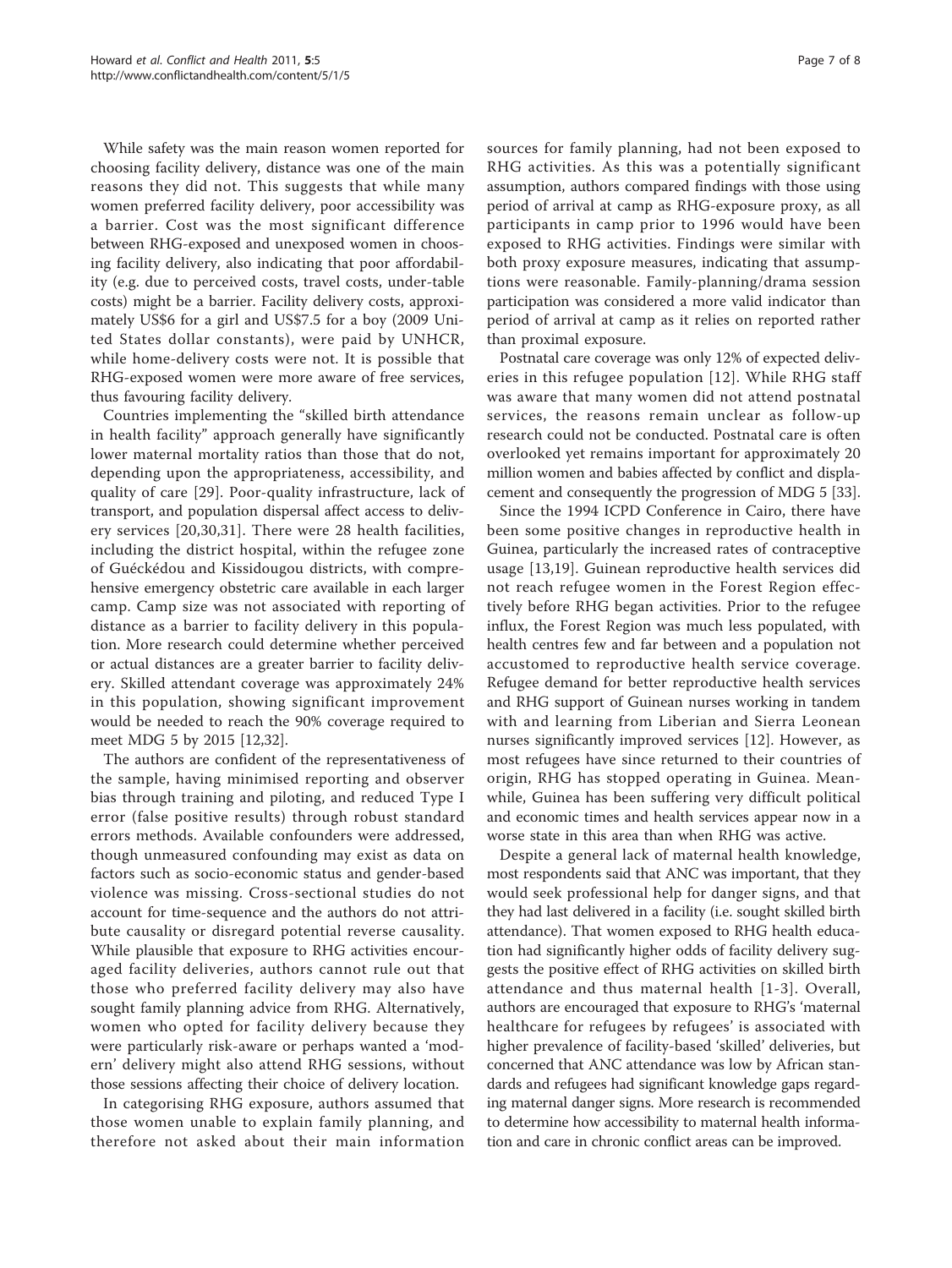While safety was the main reason women reported for choosing facility delivery, distance was one of the main reasons they did not. This suggests that while many women preferred facility delivery, poor accessibility was a barrier. Cost was the most significant difference between RHG-exposed and unexposed women in choosing facility delivery, also indicating that poor affordability (e.g. due to perceived costs, travel costs, under-table costs) might be a barrier. Facility delivery costs, approximately US\$6 for a girl and US\$7.5 for a boy (2009 United States dollar constants), were paid by UNHCR, while home-delivery costs were not. It is possible that RHG-exposed women were more aware of free services, thus favouring facility delivery.

Countries implementing the "skilled birth attendance in health facility" approach generally have significantly lower maternal mortality ratios than those that do not, depending upon the appropriateness, accessibility, and quality of care [\[29](#page-7-0)]. Poor-quality infrastructure, lack of transport, and population dispersal affect access to delivery services [[20](#page-7-0),[30,31](#page-7-0)]. There were 28 health facilities, including the district hospital, within the refugee zone of Guéckédou and Kissidougou districts, with comprehensive emergency obstetric care available in each larger camp. Camp size was not associated with reporting of distance as a barrier to facility delivery in this population. More research could determine whether perceived or actual distances are a greater barrier to facility delivery. Skilled attendant coverage was approximately 24% in this population, showing significant improvement would be needed to reach the 90% coverage required to meet MDG 5 by 2015 [\[12,32](#page-7-0)].

The authors are confident of the representativeness of the sample, having minimised reporting and observer bias through training and piloting, and reduced Type I error (false positive results) through robust standard errors methods. Available confounders were addressed, though unmeasured confounding may exist as data on factors such as socio-economic status and gender-based violence was missing. Cross-sectional studies do not account for time-sequence and the authors do not attribute causality or disregard potential reverse causality. While plausible that exposure to RHG activities encouraged facility deliveries, authors cannot rule out that those who preferred facility delivery may also have sought family planning advice from RHG. Alternatively, women who opted for facility delivery because they were particularly risk-aware or perhaps wanted a 'modern' delivery might also attend RHG sessions, without those sessions affecting their choice of delivery location.

In categorising RHG exposure, authors assumed that those women unable to explain family planning, and therefore not asked about their main information sources for family planning, had not been exposed to RHG activities. As this was a potentially significant assumption, authors compared findings with those using period of arrival at camp as RHG-exposure proxy, as all participants in camp prior to 1996 would have been exposed to RHG activities. Findings were similar with both proxy exposure measures, indicating that assumptions were reasonable. Family-planning/drama session participation was considered a more valid indicator than period of arrival at camp as it relies on reported rather than proximal exposure.

Postnatal care coverage was only 12% of expected deliveries in this refugee population [[12](#page-7-0)]. While RHG staff was aware that many women did not attend postnatal services, the reasons remain unclear as follow-up research could not be conducted. Postnatal care is often overlooked yet remains important for approximately 20 million women and babies affected by conflict and displacement and consequently the progression of MDG 5 [[33](#page-7-0)].

Since the 1994 ICPD Conference in Cairo, there have been some positive changes in reproductive health in Guinea, particularly the increased rates of contraceptive usage [\[13](#page-7-0),[19\]](#page-7-0). Guinean reproductive health services did not reach refugee women in the Forest Region effectively before RHG began activities. Prior to the refugee influx, the Forest Region was much less populated, with health centres few and far between and a population not accustomed to reproductive health service coverage. Refugee demand for better reproductive health services and RHG support of Guinean nurses working in tandem with and learning from Liberian and Sierra Leonean nurses significantly improved services [[12](#page-7-0)]. However, as most refugees have since returned to their countries of origin, RHG has stopped operating in Guinea. Meanwhile, Guinea has been suffering very difficult political and economic times and health services appear now in a worse state in this area than when RHG was active.

Despite a general lack of maternal health knowledge, most respondents said that ANC was important, that they would seek professional help for danger signs, and that they had last delivered in a facility (i.e. sought skilled birth attendance). That women exposed to RHG health education had significantly higher odds of facility delivery suggests the positive effect of RHG activities on skilled birth attendance and thus maternal health [[1-3\]](#page-7-0). Overall, authors are encouraged that exposure to RHG's 'maternal healthcare for refugees by refugees' is associated with higher prevalence of facility-based 'skilled' deliveries, but concerned that ANC attendance was low by African standards and refugees had significant knowledge gaps regarding maternal danger signs. More research is recommended to determine how accessibility to maternal health information and care in chronic conflict areas can be improved.